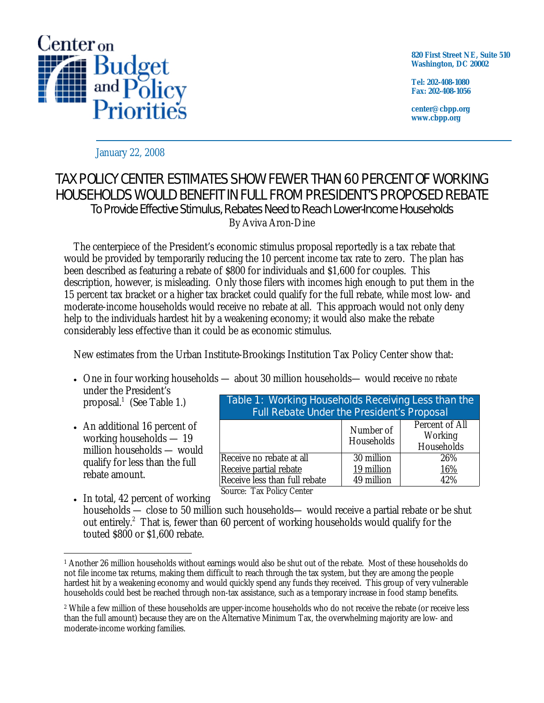

**820 First Street NE, Suite 510 Washington, DC 20002** 

**Tel: 202-408-1080 Fax: 202-408-1056** 

**center@cbpp.org www.cbpp.org** 

January 22, 2008

## TAX POLICY CENTER ESTIMATES SHOW FEWER THAN 60 PERCENT OF WORKING HOUSEHOLDS WOULD BENEFIT IN FULL FROM PRESIDENT'S PROPOSED REBATE To Provide Effective Stimulus, Rebates Need to Reach Lower-Income Households By Aviva Aron-Dine

 The centerpiece of the President's economic stimulus proposal reportedly is a tax rebate that would be provided by temporarily reducing the 10 percent income tax rate to zero. The plan has been described as featuring a rebate of \$800 for individuals and \$1,600 for couples. This description, however, is misleading. Only those filers with incomes high enough to put them in the 15 percent tax bracket or a higher tax bracket could qualify for the full rebate, while most low- and moderate-income households would receive no rebate at all. This approach would not only deny help to the individuals hardest hit by a weakening economy; it would also make the rebate considerably less effective than it could be as economic stimulus.

New estimates from the Urban Institute-Brookings Institution Tax Policy Center show that:

• One in four working households — about 30 million households— would receive *no rebate* under the President's

proposal.<sup>1</sup> (See Table 1.)

• An additional 16 percent of working households — 19 million households — would qualify for less than the full rebate amount.

| Table 1: Working Households Receiving Less than the<br><b>Full Rebate Under the President's Proposal</b> |                         |                                         |  |  |
|----------------------------------------------------------------------------------------------------------|-------------------------|-----------------------------------------|--|--|
|                                                                                                          | Number of<br>Households | Percent of All<br>Working<br>Households |  |  |
| Receive no rebate at all                                                                                 | 30 million              | 26%                                     |  |  |
| Receive partial rebate                                                                                   | 19 million              | 16%                                     |  |  |
| Receive less than full rebate<br>$T \cup D$ $\cup$ $\cap$                                                | 49 million              | 42%                                     |  |  |

Source: Tax Policy Center

• In total, 42 percent of working households — close to 50 million such households— would receive a partial rebate or be shut out entirely.<sup>2</sup> That is, fewer than 60 percent of working households would qualify for the touted \$800 or \$1,600 rebate.

 $\overline{a}$ 1 Another 26 million households without earnings would also be shut out of the rebate. Most of these households do not file income tax returns, making them difficult to reach through the tax system, but they are among the people hardest hit by a weakening economy and would quickly spend any funds they received. This group of very vulnerable households could best be reached through non-tax assistance, such as a temporary increase in food stamp benefits.

<sup>2</sup> While a few million of these households are upper-income households who do not receive the rebate (or receive less than the full amount) because they are on the Alternative Minimum Tax, the overwhelming majority are low- and moderate-income working families.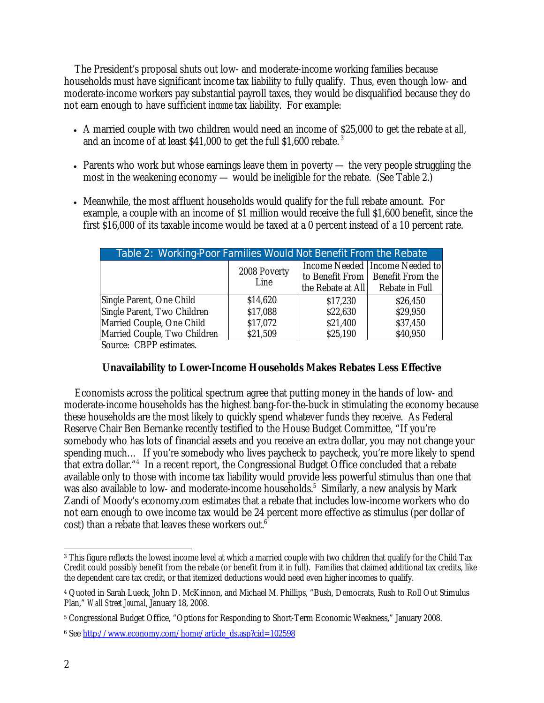The President's proposal shuts out low- and moderate-income working families because households must have significant income tax liability to fully qualify. Thus, even though low- and moderate-income workers pay substantial payroll taxes, they would be disqualified because they do not earn enough to have sufficient *income* tax liability. For example:

- A married couple with two children would need an income of \$25,000 to get the rebate *at all*, and an income of at least  $$41,000$  to get the full  $$1,600$  rebate.<sup>3</sup>
- Parents who work but whose earnings leave them in poverty the very people struggling the most in the weakening economy — would be ineligible for the rebate. (See Table 2.)
- Meanwhile, the most affluent households would qualify for the full rebate amount. For example, a couple with an income of \$1 million would receive the full \$1,600 benefit, since the first \$16,000 of its taxable income would be taxed at a 0 percent instead of a 10 percent rate.

| Table 2: Working-Poor Families Would Not Benefit From the Rebate |                      |                   |                                                                                          |  |
|------------------------------------------------------------------|----------------------|-------------------|------------------------------------------------------------------------------------------|--|
|                                                                  | 2008 Poverty<br>Line | the Rebate at All | Income Needed   Income Needed to<br>to Benefit From   Benefit From the<br>Rebate in Full |  |
| Single Parent, One Child                                         | \$14,620             | \$17,230          | \$26,450                                                                                 |  |
| Single Parent, Two Children                                      | \$17,088             | \$22,630          | \$29,950                                                                                 |  |
| Married Couple, One Child                                        | \$17,072             | \$21,400          | \$37,450                                                                                 |  |
| Married Couple, Two Children                                     | \$21,509             | \$25,190          | \$40,950                                                                                 |  |
| $C_1, \ldots, C_{\text{DD}}$                                     |                      |                   |                                                                                          |  |

Source: CBPP estimates.

## **Unavailability to Lower-Income Households Makes Rebates Less Effective**

Economists across the political spectrum agree that putting money in the hands of low- and moderate-income households has the highest bang-for-the-buck in stimulating the economy because these households are the most likely to quickly spend whatever funds they receive. As Federal Reserve Chair Ben Bernanke recently testified to the House Budget Committee, "If you're somebody who has lots of financial assets and you receive an extra dollar, you may not change your spending much… If you're somebody who lives paycheck to paycheck, you're more likely to spend that extra dollar."4 In a recent report, the Congressional Budget Office concluded that a rebate available only to those with income tax liability would provide less powerful stimulus than one that was also available to low- and moderate-income households.<sup>5</sup> Similarly, a new analysis by Mark Zandi of Moody's economy.com estimates that a rebate that includes low-income workers who do not earn enough to owe income tax would be 24 percent more effective as stimulus (per dollar of cost) than a rebate that leaves these workers out.<sup>6</sup>

 $\overline{a}$  $^3$  This figure reflects the lowest income level at which a married couple with two children that qualify for the Child Tax Credit could possibly benefit from the rebate (or benefit from it in full). Families that claimed additional tax credits, like the dependent care tax credit, or that itemized deductions would need even higher incomes to qualify.

<sup>4</sup> Quoted in Sarah Lueck, John D. McKinnon, and Michael M. Phillips, "Bush, Democrats, Rush to Roll Out Stimulus Plan," *Wall Street Journal*, January 18, 2008.

<sup>5</sup> Congressional Budget Office, "Options for Responding to Short-Term Economic Weakness," January 2008.

<sup>6</sup> See http://www.economy.com/home/article\_ds.asp?cid=102598